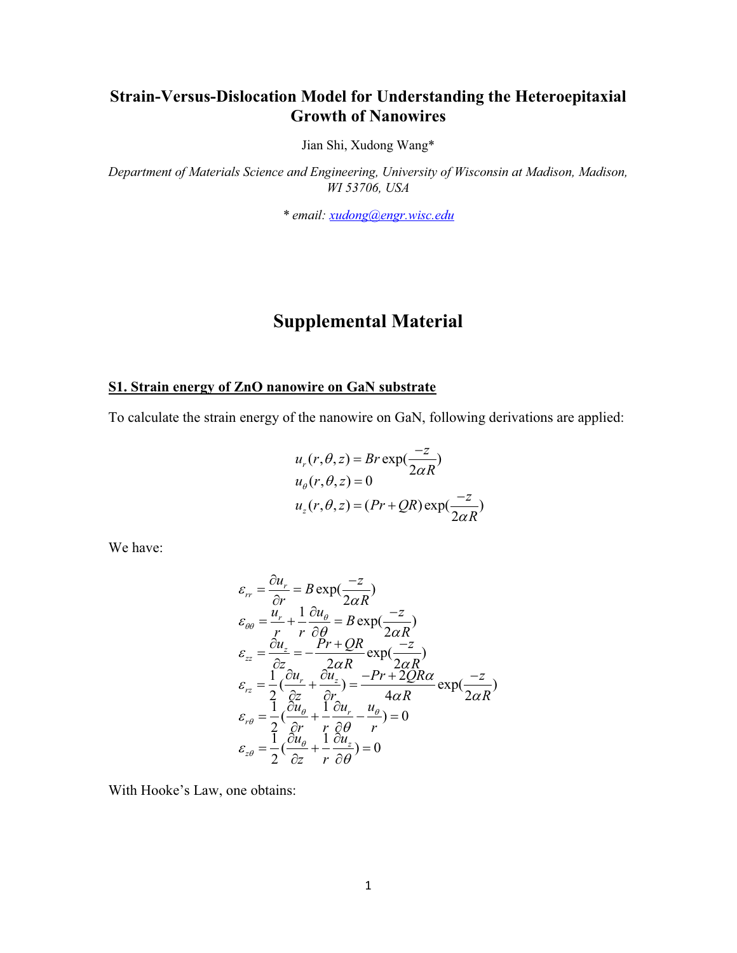## **Strain-Versus-Dislocation Model for Understanding the Heteroepitaxial Growth of Nanowires**

Jian Shi, Xudong Wang\*

*Department of Materials Science and Engineering, University of Wisconsin at Madison, Madison, WI 53706, USA* 

*\* email: xudong@engr.wisc.edu*

# **Supplemental Material**

### **S1. Strain energy of ZnO nanowire on GaN substrate**

To calculate the strain energy of the nanowire on GaN, following derivations are applied:

$$
u_r(r, \theta, z) = Br \exp(\frac{-z}{2\alpha R})
$$
  
\n
$$
u_{\theta}(r, \theta, z) = 0
$$
  
\n
$$
u_z(r, \theta, z) = (Pr + QR) \exp(\frac{-z}{2\alpha R})
$$

We have:

$$
\varepsilon_{rr} = \frac{\partial u_r}{\partial r} = B \exp(\frac{-z}{2\alpha R})
$$
\n
$$
\varepsilon_{\theta\theta} = \frac{u_r}{r} + \frac{1}{r} \frac{\partial u_\theta}{\partial \theta} = B \exp(\frac{-z}{2\alpha R})
$$
\n
$$
\varepsilon_{zz} = \frac{\partial u_z}{\partial z} = -\frac{Pr + QR}{2\alpha R} \exp(\frac{-z}{2\alpha R})
$$
\n
$$
\varepsilon_{rz} = \frac{1}{2} (\frac{\partial u_r}{\partial z} + \frac{\partial u_z}{\partial r}) = \frac{-Pr + 2QR\alpha}{4\alpha R} \exp(\frac{-z}{2\alpha R})
$$
\n
$$
\varepsilon_{r\theta} = \frac{1}{2} (\frac{\partial u_\theta}{\partial r} + \frac{1}{r} \frac{\partial u_r}{\partial \theta} - \frac{u_\theta}{r}) = 0
$$
\n
$$
\varepsilon_{z\theta} = \frac{1}{2} (\frac{\partial u_\theta}{\partial z} + \frac{1}{r} \frac{\partial u_z}{\partial \theta}) = 0
$$

With Hooke's Law, one obtains: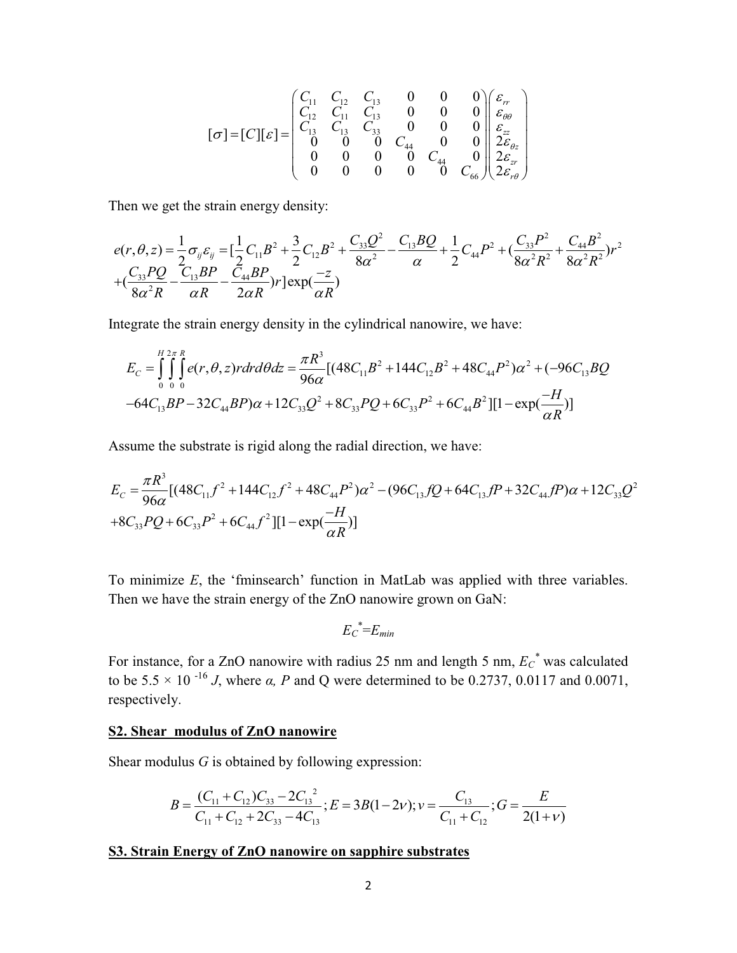$$
\begin{bmatrix} \n\sigma \n\end{bmatrix} = \n\begin{bmatrix} C_{11} & C_{12} & C_{13} & 0 & 0 & 0 \\ \nC_{12} & C_{11} & C_{13} & 0 & 0 & 0 \\ \nC_{13} & C_{13} & C_{33} & 0 & 0 & 0 \\ \n0 & 0 & 0 & C_{44} & 0 & 0 \\ \n0 & 0 & 0 & 0 & C_{44} & 0 \\ \n0 & 0 & 0 & 0 & 0 & C_{66} \n\end{bmatrix} \n\begin{bmatrix} \varepsilon_{rr} \\ \varepsilon_{\theta\theta} \\ \varepsilon_{zz} \\ \varepsilon_{zz} \\ \varepsilon_{zx} \\ \varepsilon_{\varepsilon_{\theta}} \\ \varepsilon_{\varepsilon_{\theta}} \\ \varepsilon_{\varepsilon_{\theta}} \\ \varepsilon_{\varepsilon_{\theta}} \\ \varepsilon_{\varepsilon_{\theta}} \end{bmatrix}
$$

Then we get the strain energy density:

$$
e(r, \theta, z) = \frac{1}{2} \sigma_{ij} \varepsilon_{ij} = \left[ \frac{1}{2} C_{11} B^2 + \frac{3}{2} C_{12} B^2 + \frac{C_{33} Q^2}{8 \alpha^2} - \frac{C_{13} B Q}{\alpha} + \frac{1}{2} C_{44} P^2 + \left( \frac{C_{33} P^2}{8 \alpha^2 R^2} + \frac{C_{44} B^2}{8 \alpha^2 R^2} \right) r^2 + \left( \frac{C_{33} P Q}{8 \alpha^2 R} - \frac{C_{13} B P}{\alpha R} - \frac{C_{44} B P}{2 \alpha R} \right) r \right] \exp\left(\frac{-z}{\alpha R}\right)
$$

Integrate the strain energy density in the cylindrical nanowire, we have:

$$
E_C = \int_{0}^{H} \int_{0}^{2\pi} \int_{0}^{R} e(r, \theta, z) r dr d\theta dz = \frac{\pi R^3}{96\alpha} [(48C_{11}B^2 + 144C_{12}B^2 + 48C_{44}P^2)\alpha^2 + (-96C_{13}BQ - 64C_{13}BP - 32C_{44}BP)\alpha + 12C_{33}Q^2 + 8C_{33}PQ + 6C_{33}P^2 + 6C_{44}B^2][1 - \exp(\frac{-H}{\alpha R})]
$$

Assume the substrate is rigid along the radial direction, we have:

$$
E_C = \frac{\pi R^3}{96\alpha} [(48C_{11}f^2 + 144C_{12}f^2 + 48C_{44}P^2)\alpha^2 - (96C_{13}fQ + 64C_{13}fP + 32C_{44}fP)\alpha + 12C_{33}Q^2
$$
  
+8C<sub>33</sub>PQ + 6C<sub>33</sub>P<sup>2</sup> + 6C<sub>44</sub>f<sup>2</sup>][1 - exp( $\frac{-H}{\alpha R}$ )]

To minimize *E*, the 'fminsearch' function in MatLab was applied with three variables. Then we have the strain energy of the ZnO nanowire grown on GaN:

$$
{E_C}^*\!\!=\!\!E_{min}
$$

For instance, for a ZnO nanowire with radius 25 nm and length 5 nm,  $E_{\rm C}^{*}$  was calculated to be 5.5  $\times$  10<sup>-16</sup> *J*, where *α, P* and Q were determined to be 0.2737, 0.0117 and 0.0071, respectively.

#### **S2. Shear modulus of ZnO nanowire**

Shear modulus *G* is obtained by following expression:

$$
B = \frac{(C_{11} + C_{12})C_{33} - 2C_{13}^2}{C_{11} + C_{12} + 2C_{33} - 4C_{13}}; E = 3B(1 - 2\nu); \nu = \frac{C_{13}}{C_{11} + C_{12}}; G = \frac{E}{2(1 + \nu)}
$$

## **S3. Strain Energy of ZnO nanowire on sapphire substrates**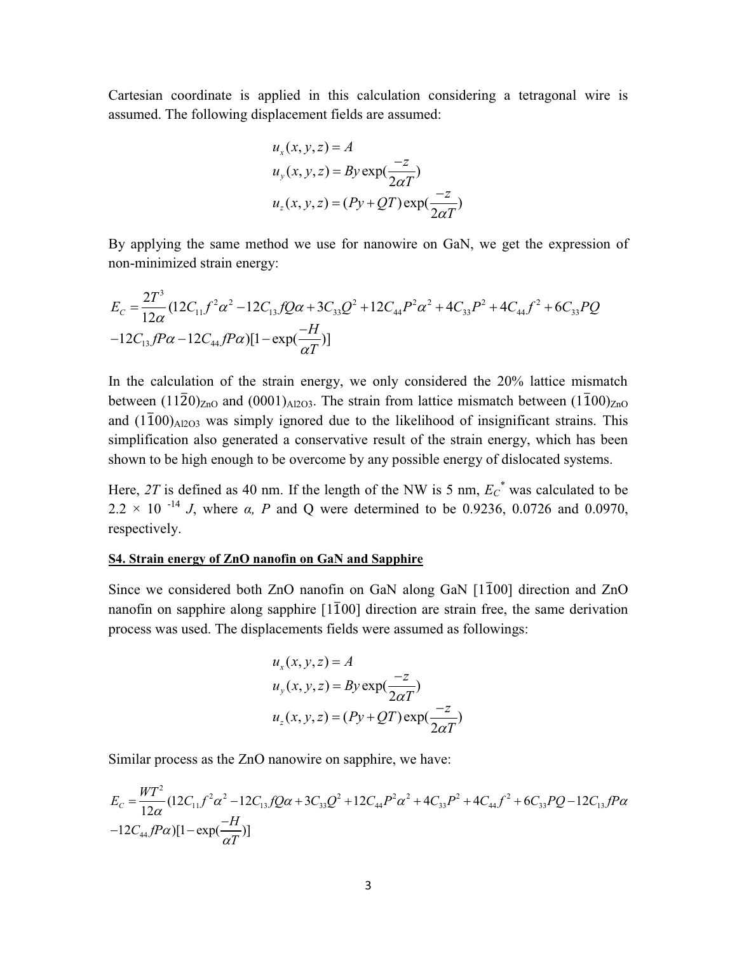Cartesian coordinate is applied in this calculation considering a tetragonal wire is assumed. The following displacement fields are assumed:

$$
u_x(x, y, z) = A
$$
  
\n
$$
u_y(x, y, z) = By \exp(\frac{-z}{2\alpha T})
$$
  
\n
$$
u_z(x, y, z) = (Py + QT) \exp(\frac{-z}{2\alpha T})
$$

By applying the same method we use for nanowire on GaN, we get the expression of non-minimized strain energy:

$$
E_C = \frac{2T^3}{12\alpha} (12C_{11}f^2\alpha^2 - 12C_{13}fQ\alpha + 3C_{33}Q^2 + 12C_{44}P^2\alpha^2 + 4C_{33}P^2 + 4C_{44}f^2 + 6C_{33}PQ - 12C_{13}fP\alpha - 12C_{44}fP\alpha)[1 - \exp(\frac{-H}{\alpha T})]
$$

In the calculation of the strain energy, we only considered the 20% lattice mismatch between  $(11\overline{2}0)_{\text{ZnO}}$  and  $(0001)_{\text{Al2O3}}$ . The strain from lattice mismatch between  $(1\overline{1}00)_{\text{ZnO}}$ and  $(1100)$ <sub>Al2O3</sub> was simply ignored due to the likelihood of insignificant strains. This simplification also generated a conservative result of the strain energy, which has been shown to be high enough to be overcome by any possible energy of dislocated systems.

Here, 2T is defined as 40 nm. If the length of the NW is 5 nm,  $E_{\rm C}^{*}$  was calculated to be 2.2  $\times$  10<sup>-14</sup> *J*, where  $\alpha$ , *P* and Q were determined to be 0.9236, 0.0726 and 0.0970, respectively.

#### **S4. Strain energy of ZnO nanofin on GaN and Sapphire**

Since we considered both ZnO nanofin on GaN along GaN  $[1\overline{1}00]$  direction and ZnO nanofin on sapphire along sapphire  $[1\bar{1}00]$  direction are strain free, the same derivation process was used. The displacements fields were assumed as followings:

$$
u_x(x, y, z) = A
$$
  
\n
$$
u_y(x, y, z) = By \exp(\frac{-z}{2\alpha T})
$$
  
\n
$$
u_z(x, y, z) = (Py + QT) \exp(\frac{-z}{2\alpha T})
$$

Similar process as the ZnO nanowire on sapphire, we have:

$$
E_C = \frac{WT^2}{12\alpha} (12C_{11}f^2\alpha^2 - 12C_{13}fQ\alpha + 3C_{33}Q^2 + 12C_{44}P^2\alpha^2 + 4C_{33}P^2 + 4C_{44}f^2 + 6C_{33}PQ - 12C_{13}fP\alpha - 12C_{44}fP\alpha)[1 - \exp(\frac{-H}{\alpha T})]
$$